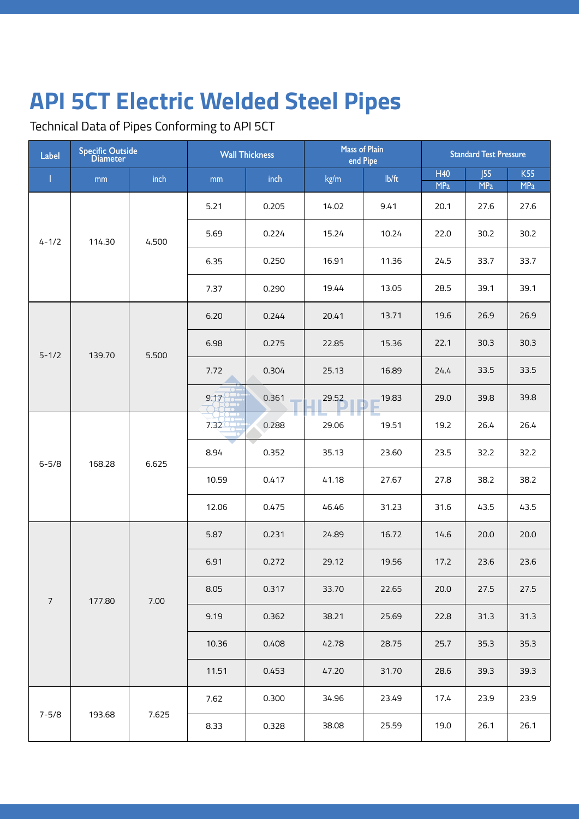Technical Data of Pipes Conforming to API 5CT

| Label      | <b>Specific Outside</b><br><b>Diameter</b> |          | <b>Wall Thickness</b> |                         | <b>Mass of Plain</b><br>end Pipe |       | <b>Standard Test Pressure</b> |                                                      |                          |
|------------|--------------------------------------------|----------|-----------------------|-------------------------|----------------------------------|-------|-------------------------------|------------------------------------------------------|--------------------------|
| ı          | mm                                         | inch     | mm                    | inch                    | kg/m                             | lb/ft | H40<br><b>MPa</b>             | J55<br><b>MPa</b>                                    | <b>K55</b><br><b>MPa</b> |
| $4 - 1/2$  | 114.30                                     | 4.500    | 5.21                  | 0.205                   | 14.02                            | 9.41  | 20.1                          | 27.6                                                 | 27.6                     |
|            |                                            |          | 5.69                  | 0.224                   | 15.24                            | 10.24 | 22.0                          | 30.2                                                 | 30.2                     |
|            |                                            |          | 6.35                  | 0.250                   | 16.91                            | 11.36 | 24.5                          | 33.7                                                 | 33.7                     |
|            |                                            |          | 7.37                  | 0.290                   | 19.44                            | 13.05 | 28.5                          | 39.1                                                 | 39.1                     |
|            |                                            |          | 6.20                  | 0.244                   | 20.41                            | 13.71 | 19.6                          | 26.9                                                 | 26.9                     |
| $5 - 1/2$  | 139.70                                     | 5.500    | 6.98                  | 0.275                   | 22.85                            | 15.36 | 22.1                          | 30.3<br>30.3<br>33.5<br>33.5                         |                          |
|            |                                            |          | 7.72                  | 0.304                   | 25.13                            | 16.89 | 24.4                          |                                                      |                          |
|            |                                            |          | 9.17                  | 0.361                   | 29.52                            | 19.83 | 29.0                          | 39.8                                                 | 39.8                     |
| $6 - 5/8$  | 168.28                                     | 6.625    | 7.32                  | 0.288                   | 29.06                            | 19.51 | 19.2                          | 26.4                                                 | 26.4                     |
|            |                                            |          | 8.94                  | 0.352                   | 35.13                            | 23.60 | 23.5                          | 32.2                                                 | 32.2                     |
|            |                                            |          | 10.59                 | 0.417                   | 41.18                            | 27.67 | 27.8                          | 38.2                                                 | 38.2                     |
|            |                                            |          | 12.06                 | 0.475                   | 46.46                            | 31.23 | 31.6                          | 43.5                                                 | 43.5                     |
|            |                                            |          | 5.87                  | 0.231                   | 24.89                            | 16.72 | 14.6                          | 20.0                                                 | 20.0                     |
|            |                                            |          | 6.91                  | 0.272                   | 29.12                            | 19.56 | 17.2                          | 23.6<br>27.5<br>31.3<br>35.3<br>39.3<br>23.9<br>26.1 | 23.6                     |
| $\sqrt{ }$ | 177.80                                     | $7.00\,$ | 8.05                  | 0.317                   | 33.70                            | 22.65 | 20.0                          |                                                      | 27.5                     |
|            |                                            |          | 9.19                  | 0.362                   | 38.21                            | 25.69 | 22.8                          |                                                      | 31.3                     |
|            |                                            |          | 10.36                 | 42.78<br>28.75<br>0.408 | 25.7                             |       | 35.3                          |                                                      |                          |
|            |                                            |          | 11.51                 | 0.453                   | 47.20                            | 31.70 | 28.6                          |                                                      | 39.3                     |
|            |                                            |          | 7.62                  | 0.300                   | 34.96                            | 23.49 | 17.4                          |                                                      | 23.9                     |
| $7 - 5/8$  | 193.68                                     | 7.625    | 8.33                  | 0.328                   | 38.08                            | 25.59 | 19.0                          |                                                      | 26.1                     |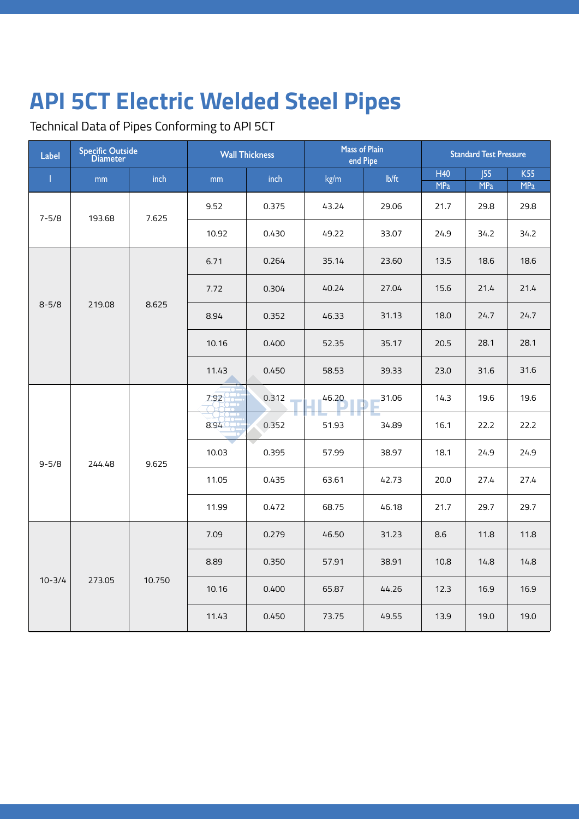Technical Data of Pipes Conforming to API 5CT

| Label               | <b>Specific Outside</b><br><b>Diameter</b> |        | <b>Wall Thickness</b> |       | <b>Mass of Plain</b><br>end Pipe |       | <b>Standard Test Pressure</b> |                   |                          |
|---------------------|--------------------------------------------|--------|-----------------------|-------|----------------------------------|-------|-------------------------------|-------------------|--------------------------|
| L                   | mm                                         | inch   | mm                    | inch  | kg/m                             | Ib/ft | H40<br><b>MPa</b>             | 55 <br><b>MPa</b> | <b>K55</b><br><b>MPa</b> |
| $7 - 5/8$           | 193.68                                     | 7.625  | 9.52                  | 0.375 | 43.24                            | 29.06 | 21.7                          | 29.8              | 29.8                     |
|                     |                                            |        | 10.92                 | 0.430 | 49.22                            | 33.07 | 24.9                          | 34.2              | 34.2                     |
|                     |                                            | 8.625  | 6.71                  | 0.264 | 35.14                            | 23.60 | 13.5                          | 18.6              | 18.6                     |
|                     |                                            |        | 7.72                  | 0.304 | 40.24                            | 27.04 | 15.6                          | 21.4              | 21.4                     |
| $8 - 5/8$           | 219.08                                     |        | 8.94                  | 0.352 | 46.33                            | 31.13 | 18.0                          | 24.7              | 24.7                     |
|                     |                                            |        | 10.16                 | 0.400 | 52.35                            | 35.17 | 20.5                          | 28.1              | 28.1                     |
|                     |                                            |        | 11.43                 | 0.450 | 58.53                            | 39.33 | 23.0                          | 31.6              | 31.6                     |
|                     |                                            |        | 7.92                  | 0.312 | 46.20                            | 31.06 | 14.3                          | 19.6              | 19.6                     |
| $9 - 5/8$<br>244.48 |                                            | 9.625  | 8.94                  | 0.352 | 51.93                            | 34.89 | 16.1                          | 22.2              | 22.2                     |
|                     |                                            |        | 10.03                 | 0.395 | 57.99                            | 38.97 | 18.1                          | 24.9              | 24.9                     |
|                     |                                            |        | 11.05                 | 0.435 | 63.61                            | 42.73 | 20.0<br>27.4                  |                   | 27.4                     |
|                     |                                            |        | 11.99                 | 0.472 | 68.75                            | 46.18 | 21.7                          | 29.7              | 29.7                     |
|                     |                                            |        | 7.09                  | 0.279 | 46.50                            | 31.23 | 8.6                           | 11.8              | 11.8                     |
|                     |                                            |        | 8.89                  | 0.350 | 57.91                            | 38.91 | 10.8                          | 14.8              | 14.8                     |
| $10 - 3/4$          | 273.05                                     | 10.750 | 10.16                 | 0.400 | 65.87                            | 44.26 | 12.3                          | 16.9              | 16.9                     |
|                     |                                            |        | 11.43                 | 0.450 | 73.75                            | 49.55 | 13.9                          | 19.0              | 19.0                     |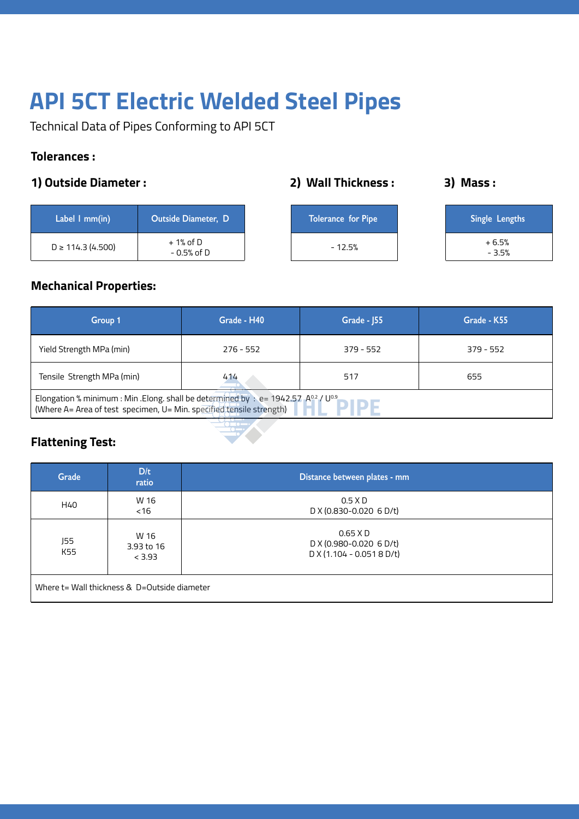Technical Data of Pipes Conforming to API 5CT

#### **Tolerances :**

#### **1) Outside Diameter : 2) Wall Thickness :**

| Label 1 mm(in)       | <b>Outside Diameter, D</b>  | <b>Tolerance for Pipe</b> | Single Lengths     |
|----------------------|-----------------------------|---------------------------|--------------------|
| $D \ge 114.3(4.500)$ | $+1\%$ of D<br>$-0.5%$ of D | $-12.5%$                  | $+6.5%$<br>$-3.5%$ |

**3) Mass :** 

### **Mechanical Properties:**

| Group 1                                                                                                                                                                      | Grade - H40 | Grade - J55 | Grade - K55 |  |  |
|------------------------------------------------------------------------------------------------------------------------------------------------------------------------------|-------------|-------------|-------------|--|--|
| Yield Strength MPa (min)                                                                                                                                                     | $276 - 552$ | $379 - 552$ | $379 - 552$ |  |  |
| Tensile Strength MPa (min)                                                                                                                                                   | 414         | 517         | 655         |  |  |
| Elongation % minimum : Min . Elong. shall be determined by : e= 1942.57 $A^{0.2}$ / U <sup>0.9</sup><br>(Where A= Area of test specimen, U= Min. specified tensile strength) |             |             |             |  |  |

### **Flattening Test:**

| Grade                                        | D/t<br>ratio                 | Distance between plates - mm                                      |  |  |
|----------------------------------------------|------------------------------|-------------------------------------------------------------------|--|--|
| H40                                          | W 16<br><16                  | $0.5 \times D$<br>D X (0.830-0.020 6 D/t)                         |  |  |
| J55<br>K55                                   | W 16<br>3.93 to 16<br>< 3.93 | $0.65$ X D<br>D X (0.980-0.020 6 D/t)<br>$DX(1.104 - 0.0518 D/t)$ |  |  |
| Where t= Wall thickness & D=Outside diameter |                              |                                                                   |  |  |